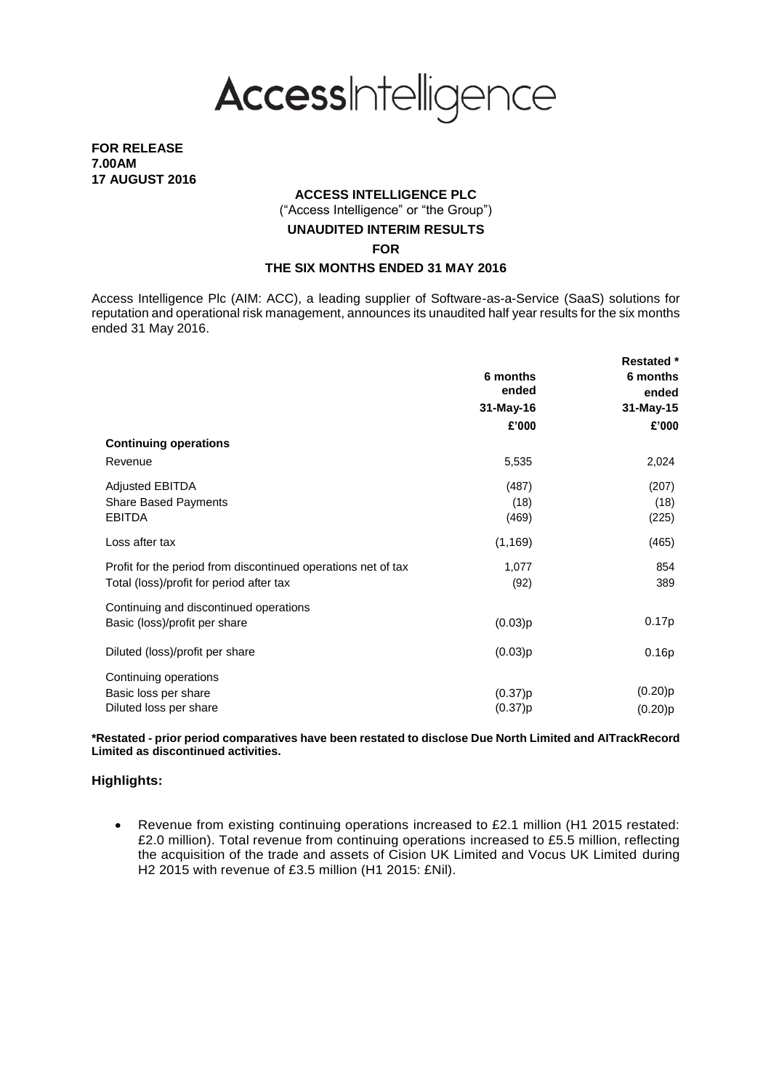

**FOR RELEASE 7.00AM 17 AUGUST 2016**

## **ACCESS INTELLIGENCE PLC**

("Access Intelligence" or "the Group")

## **UNAUDITED INTERIM RESULTS**

**FOR**

## **THE SIX MONTHS ENDED 31 MAY 2016**

Access Intelligence Plc (AIM: ACC), a leading supplier of Software-as-a-Service (SaaS) solutions for reputation and operational risk management, announces its unaudited half year results for the six months ended 31 May 2016.

|                                                               |                   | <b>Restated</b> * |
|---------------------------------------------------------------|-------------------|-------------------|
|                                                               | 6 months<br>ended | 6 months<br>ended |
|                                                               | 31-May-16         | 31-May-15         |
|                                                               | £'000             | £'000             |
| <b>Continuing operations</b>                                  |                   |                   |
| Revenue                                                       | 5,535             | 2,024             |
| <b>Adjusted EBITDA</b>                                        | (487)             | (207)             |
| <b>Share Based Payments</b>                                   | (18)              | (18)              |
| <b>EBITDA</b>                                                 | (469)             | (225)             |
| Loss after tax                                                | (1, 169)          | (465)             |
| Profit for the period from discontinued operations net of tax | 1,077             | 854               |
| Total (loss)/profit for period after tax                      | (92)              | 389               |
| Continuing and discontinued operations                        |                   |                   |
| Basic (loss)/profit per share                                 | (0.03)p           | 0.17p             |
| Diluted (loss)/profit per share                               | (0.03)p           | 0.16p             |
| Continuing operations                                         |                   |                   |
| Basic loss per share                                          | (0.37)p           | (0.20)p           |
| Diluted loss per share                                        | (0.37)p           | (0.20)p           |

**\*Restated - prior period comparatives have been restated to disclose Due North Limited and AITrackRecord Limited as discontinued activities.**

### **Highlights:**

 Revenue from existing continuing operations increased to £2.1 million (H1 2015 restated: £2.0 million). Total revenue from continuing operations increased to £5.5 million, reflecting the acquisition of the trade and assets of Cision UK Limited and Vocus UK Limited during H2 2015 with revenue of £3.5 million (H1 2015: £Nil).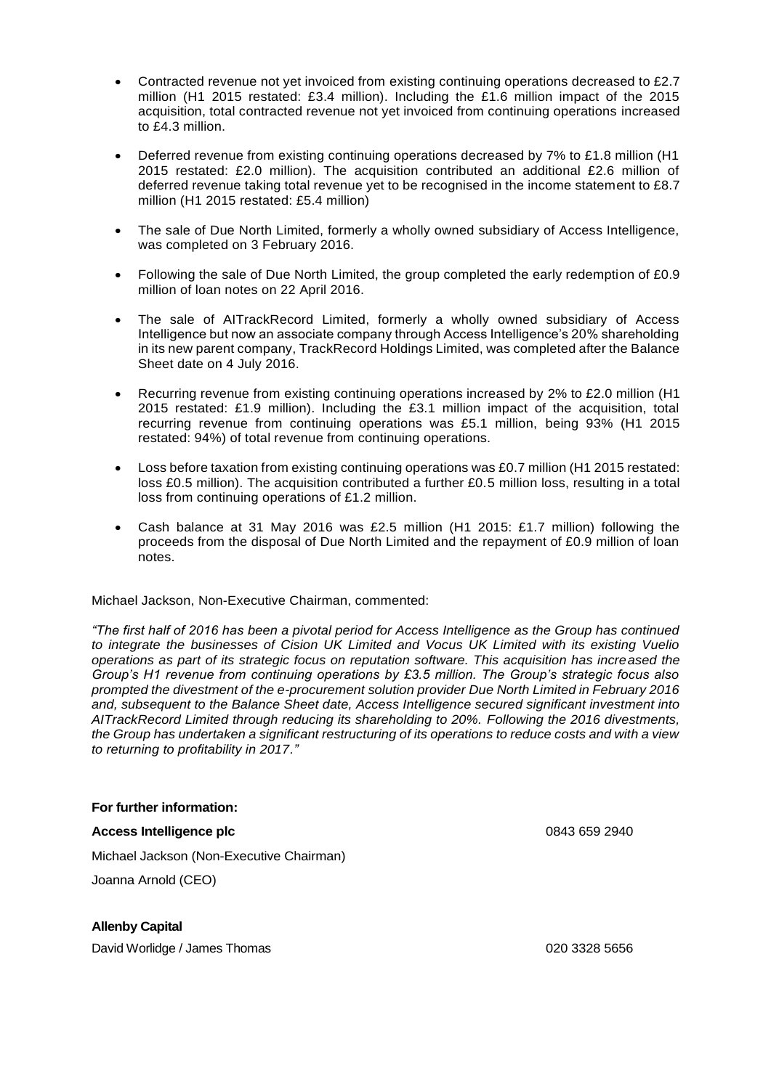- Contracted revenue not yet invoiced from existing continuing operations decreased to £2.7 million (H1 2015 restated: £3.4 million). Including the £1.6 million impact of the 2015 acquisition, total contracted revenue not yet invoiced from continuing operations increased to £4.3 million.
- Deferred revenue from existing continuing operations decreased by 7% to £1.8 million (H1 2015 restated: £2.0 million). The acquisition contributed an additional £2.6 million of deferred revenue taking total revenue yet to be recognised in the income statement to £8.7 million (H1 2015 restated: £5.4 million)
- The sale of Due North Limited, formerly a wholly owned subsidiary of Access Intelligence, was completed on 3 February 2016.
- Following the sale of Due North Limited, the group completed the early redemption of £0.9 million of loan notes on 22 April 2016.
- The sale of AITrackRecord Limited, formerly a wholly owned subsidiary of Access Intelligence but now an associate company through Access Intelligence's 20% shareholding in its new parent company, TrackRecord Holdings Limited, was completed after the Balance Sheet date on 4 July 2016.
- Recurring revenue from existing continuing operations increased by 2% to £2.0 million (H1 2015 restated: £1.9 million). Including the £3.1 million impact of the acquisition, total recurring revenue from continuing operations was £5.1 million, being 93% (H1 2015 restated: 94%) of total revenue from continuing operations.
- Loss before taxation from existing continuing operations was £0.7 million (H1 2015 restated: loss £0.5 million). The acquisition contributed a further £0.5 million loss, resulting in a total loss from continuing operations of £1.2 million.
- Cash balance at 31 May 2016 was £2.5 million (H1 2015: £1.7 million) following the proceeds from the disposal of Due North Limited and the repayment of £0.9 million of loan notes.

### Michael Jackson, Non-Executive Chairman, commented:

*"The first half of 2016 has been a pivotal period for Access Intelligence as the Group has continued to integrate the businesses of Cision UK Limited and Vocus UK Limited with its existing Vuelio operations as part of its strategic focus on reputation software. This acquisition has increased the Group's H1 revenue from continuing operations by £3.5 million. The Group's strategic focus also prompted the divestment of the e-procurement solution provider Due North Limited in February 2016 and, subsequent to the Balance Sheet date, Access Intelligence secured significant investment into AITrackRecord Limited through reducing its shareholding to 20%. Following the 2016 divestments, the Group has undertaken a significant restructuring of its operations to reduce costs and with a view to returning to profitability in 2017."*

### **For further information:**

### **Access Intelligence plc** 0843 659 2940

Michael Jackson (Non-Executive Chairman) Joanna Arnold (CEO)

**Allenby Capital**

David Worlidge / James Thomas 020 3328 5656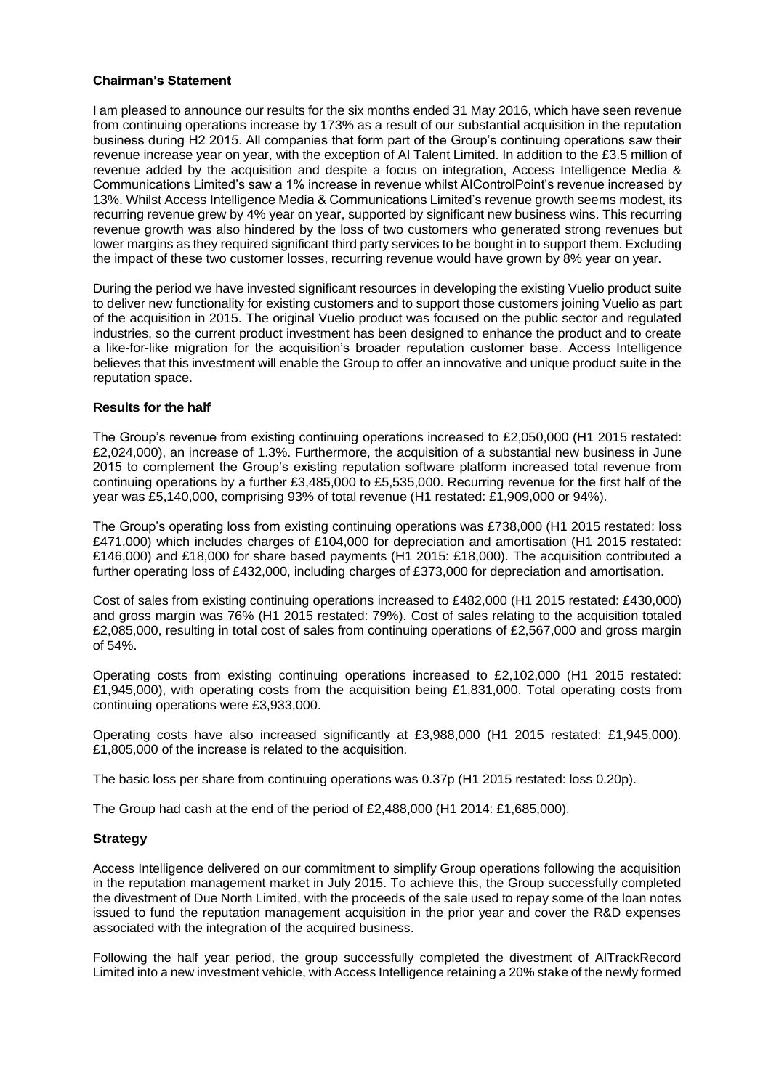## **Chairman's Statement**

I am pleased to announce our results for the six months ended 31 May 2016, which have seen revenue from continuing operations increase by 173% as a result of our substantial acquisition in the reputation business during H2 2015. All companies that form part of the Group's continuing operations saw their revenue increase year on year, with the exception of AI Talent Limited. In addition to the £3.5 million of revenue added by the acquisition and despite a focus on integration, Access Intelligence Media & Communications Limited's saw a 1% increase in revenue whilst AIControlPoint's revenue increased by 13%. Whilst Access Intelligence Media & Communications Limited's revenue growth seems modest, its recurring revenue grew by 4% year on year, supported by significant new business wins. This recurring revenue growth was also hindered by the loss of two customers who generated strong revenues but lower margins as they required significant third party services to be bought in to support them. Excluding the impact of these two customer losses, recurring revenue would have grown by 8% year on year.

During the period we have invested significant resources in developing the existing Vuelio product suite to deliver new functionality for existing customers and to support those customers joining Vuelio as part of the acquisition in 2015. The original Vuelio product was focused on the public sector and regulated industries, so the current product investment has been designed to enhance the product and to create a like-for-like migration for the acquisition's broader reputation customer base. Access Intelligence believes that this investment will enable the Group to offer an innovative and unique product suite in the reputation space.

## **Results for the half**

The Group's revenue from existing continuing operations increased to £2,050,000 (H1 2015 restated: £2,024,000), an increase of 1.3%. Furthermore, the acquisition of a substantial new business in June 2015 to complement the Group's existing reputation software platform increased total revenue from continuing operations by a further £3,485,000 to £5,535,000. Recurring revenue for the first half of the year was £5,140,000, comprising 93% of total revenue (H1 restated: £1,909,000 or 94%).

The Group's operating loss from existing continuing operations was £738,000 (H1 2015 restated: loss £471,000) which includes charges of £104,000 for depreciation and amortisation (H1 2015 restated: £146,000) and £18,000 for share based payments (H1 2015: £18,000). The acquisition contributed a further operating loss of £432,000, including charges of £373,000 for depreciation and amortisation.

Cost of sales from existing continuing operations increased to £482,000 (H1 2015 restated: £430,000) and gross margin was 76% (H1 2015 restated: 79%). Cost of sales relating to the acquisition totaled £2,085,000, resulting in total cost of sales from continuing operations of £2,567,000 and gross margin of 54%.

Operating costs from existing continuing operations increased to £2,102,000 (H1 2015 restated: £1,945,000), with operating costs from the acquisition being £1,831,000. Total operating costs from continuing operations were £3,933,000.

Operating costs have also increased significantly at £3,988,000 (H1 2015 restated: £1,945,000). £1,805,000 of the increase is related to the acquisition.

The basic loss per share from continuing operations was 0.37p (H1 2015 restated: loss 0.20p).

The Group had cash at the end of the period of £2,488,000 (H1 2014: £1,685,000).

## **Strategy**

Access Intelligence delivered on our commitment to simplify Group operations following the acquisition in the reputation management market in July 2015. To achieve this, the Group successfully completed the divestment of Due North Limited, with the proceeds of the sale used to repay some of the loan notes issued to fund the reputation management acquisition in the prior year and cover the R&D expenses associated with the integration of the acquired business.

Following the half year period, the group successfully completed the divestment of AITrackRecord Limited into a new investment vehicle, with Access Intelligence retaining a 20% stake of the newly formed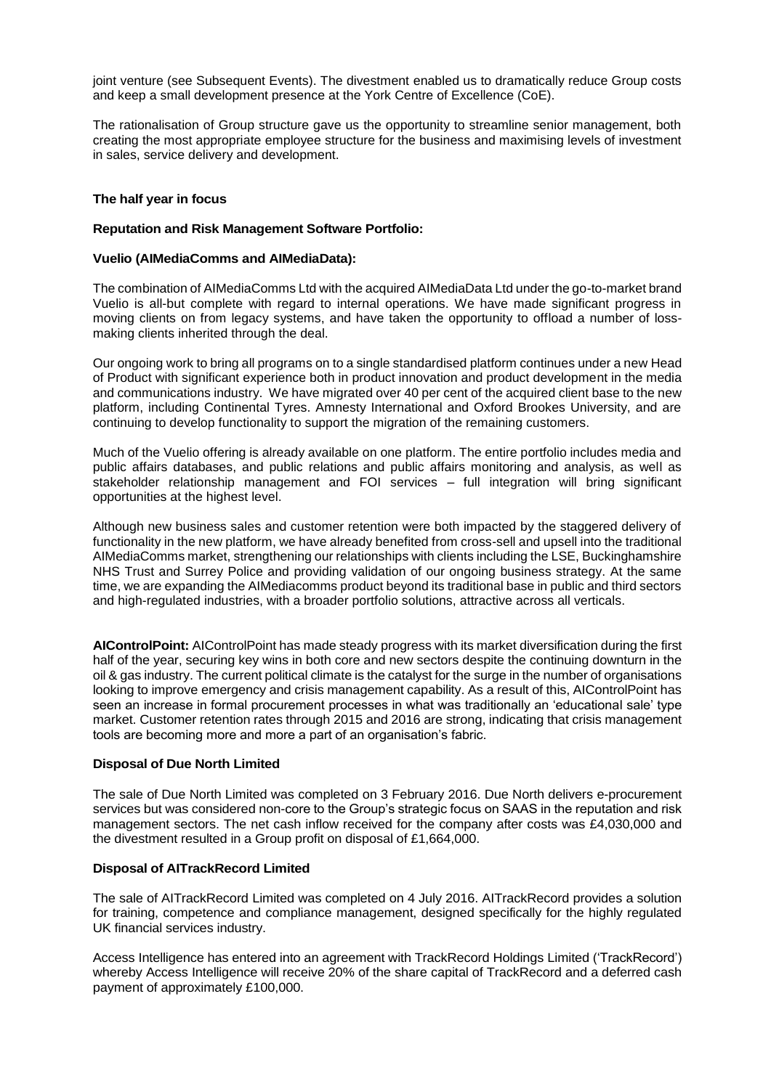joint venture (see Subsequent Events). The divestment enabled us to dramatically reduce Group costs and keep a small development presence at the York Centre of Excellence (CoE).

The rationalisation of Group structure gave us the opportunity to streamline senior management, both creating the most appropriate employee structure for the business and maximising levels of investment in sales, service delivery and development.

## **The half year in focus**

## **Reputation and Risk Management Software Portfolio:**

## **Vuelio (AIMediaComms and AIMediaData):**

The combination of AIMediaComms Ltd with the acquired AIMediaData Ltd under the go-to-market brand Vuelio is all-but complete with regard to internal operations. We have made significant progress in moving clients on from legacy systems, and have taken the opportunity to offload a number of lossmaking clients inherited through the deal.

Our ongoing work to bring all programs on to a single standardised platform continues under a new Head of Product with significant experience both in product innovation and product development in the media and communications industry. We have migrated over 40 per cent of the acquired client base to the new platform, including Continental Tyres. Amnesty International and Oxford Brookes University, and are continuing to develop functionality to support the migration of the remaining customers.

Much of the Vuelio offering is already available on one platform. The entire portfolio includes media and public affairs databases, and public relations and public affairs monitoring and analysis, as well as stakeholder relationship management and FOI services – full integration will bring significant opportunities at the highest level.

Although new business sales and customer retention were both impacted by the staggered delivery of functionality in the new platform, we have already benefited from cross-sell and upsell into the traditional AIMediaComms market, strengthening our relationships with clients including the LSE, Buckinghamshire NHS Trust and Surrey Police and providing validation of our ongoing business strategy. At the same time, we are expanding the AIMediacomms product beyond its traditional base in public and third sectors and high-regulated industries, with a broader portfolio solutions, attractive across all verticals.

**AIControlPoint:** AIControlPoint has made steady progress with its market diversification during the first half of the year, securing key wins in both core and new sectors despite the continuing downturn in the oil & gas industry. The current political climate is the catalyst for the surge in the number of organisations looking to improve emergency and crisis management capability. As a result of this, AIControlPoint has seen an increase in formal procurement processes in what was traditionally an 'educational sale' type market. Customer retention rates through 2015 and 2016 are strong, indicating that crisis management tools are becoming more and more a part of an organisation's fabric.

### **Disposal of Due North Limited**

The sale of Due North Limited was completed on 3 February 2016. Due North delivers e-procurement services but was considered non-core to the Group's strategic focus on SAAS in the reputation and risk management sectors. The net cash inflow received for the company after costs was £4,030,000 and the divestment resulted in a Group profit on disposal of £1,664,000.

### **Disposal of AITrackRecord Limited**

The sale of AITrackRecord Limited was completed on 4 July 2016. AITrackRecord provides a solution for training, competence and compliance management, designed specifically for the highly regulated UK financial services industry.

Access Intelligence has entered into an agreement with TrackRecord Holdings Limited ('TrackRecord') whereby Access Intelligence will receive 20% of the share capital of TrackRecord and a deferred cash payment of approximately £100,000.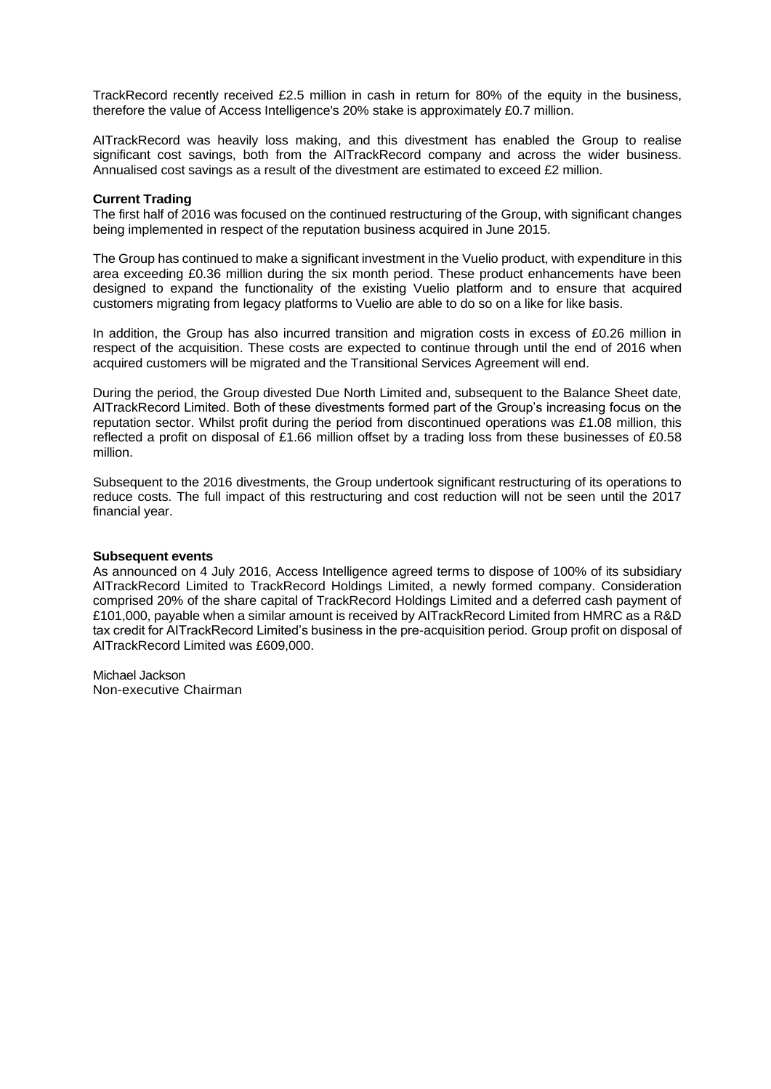TrackRecord recently received £2.5 million in cash in return for 80% of the equity in the business, therefore the value of Access Intelligence's 20% stake is approximately £0.7 million.

AITrackRecord was heavily loss making, and this divestment has enabled the Group to realise significant cost savings, both from the AITrackRecord company and across the wider business. Annualised cost savings as a result of the divestment are estimated to exceed £2 million.

### **Current Trading**

The first half of 2016 was focused on the continued restructuring of the Group, with significant changes being implemented in respect of the reputation business acquired in June 2015.

The Group has continued to make a significant investment in the Vuelio product, with expenditure in this area exceeding £0.36 million during the six month period. These product enhancements have been designed to expand the functionality of the existing Vuelio platform and to ensure that acquired customers migrating from legacy platforms to Vuelio are able to do so on a like for like basis.

In addition, the Group has also incurred transition and migration costs in excess of £0.26 million in respect of the acquisition. These costs are expected to continue through until the end of 2016 when acquired customers will be migrated and the Transitional Services Agreement will end.

During the period, the Group divested Due North Limited and, subsequent to the Balance Sheet date, AITrackRecord Limited. Both of these divestments formed part of the Group's increasing focus on the reputation sector. Whilst profit during the period from discontinued operations was £1.08 million, this reflected a profit on disposal of £1.66 million offset by a trading loss from these businesses of £0.58 million.

Subsequent to the 2016 divestments, the Group undertook significant restructuring of its operations to reduce costs. The full impact of this restructuring and cost reduction will not be seen until the 2017 financial year.

## **Subsequent events**

As announced on 4 July 2016, Access Intelligence agreed terms to dispose of 100% of its subsidiary AITrackRecord Limited to TrackRecord Holdings Limited, a newly formed company. Consideration comprised 20% of the share capital of TrackRecord Holdings Limited and a deferred cash payment of £101,000, payable when a similar amount is received by AITrackRecord Limited from HMRC as a R&D tax credit for AITrackRecord Limited's business in the pre-acquisition period. Group profit on disposal of AITrackRecord Limited was £609,000.

Michael Jackson Non-executive Chairman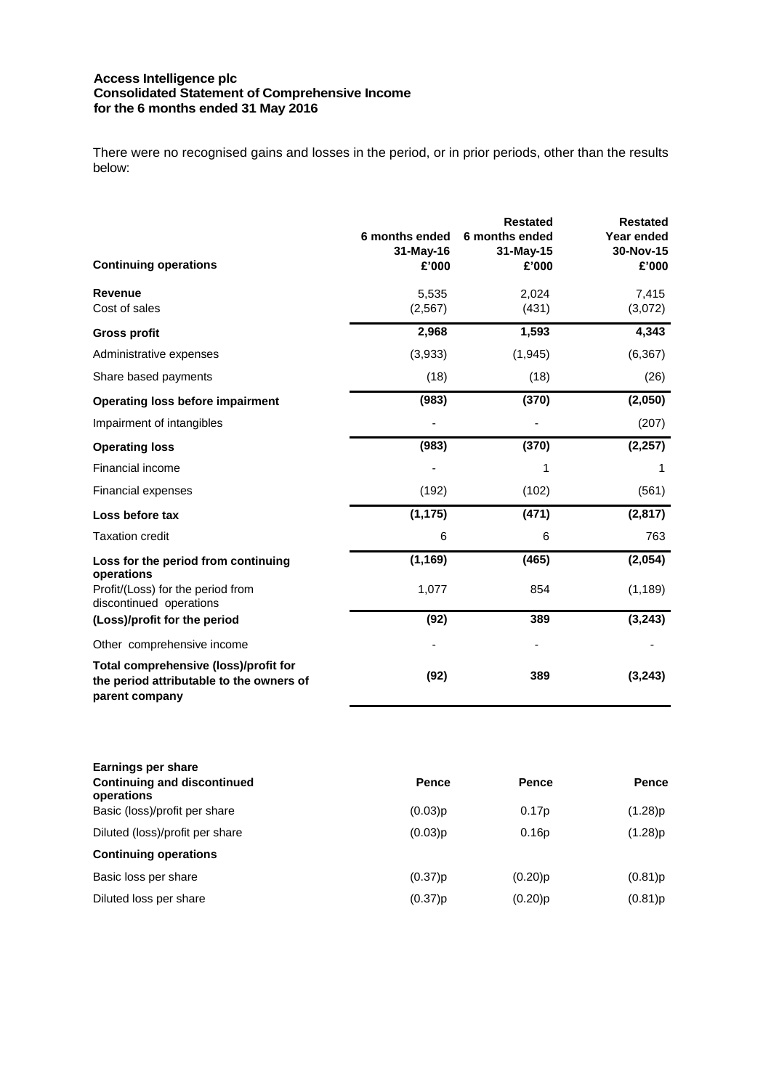#### **Access Intelligence plc Consolidated Statement of Comprehensive Income for the 6 months ended 31 May 2016**

There were no recognised gains and losses in the period, or in prior periods, other than the results below:

| <b>Continuing operations</b>                                                                        | 6 months ended<br>$31-May-16$<br>£'000 | <b>Restated</b><br>6 months ended<br>$31-May-15$<br>£'000 | <b>Restated</b><br>Year ended<br>30-Nov-15<br>£'000 |
|-----------------------------------------------------------------------------------------------------|----------------------------------------|-----------------------------------------------------------|-----------------------------------------------------|
| <b>Revenue</b><br>Cost of sales                                                                     | 5,535<br>(2, 567)                      | 2,024<br>(431)                                            | 7,415<br>(3,072)                                    |
| <b>Gross profit</b>                                                                                 | 2,968                                  | 1,593                                                     | 4,343                                               |
| Administrative expenses                                                                             | (3,933)                                | (1,945)                                                   | (6, 367)                                            |
| Share based payments                                                                                | (18)                                   | (18)                                                      | (26)                                                |
| <b>Operating loss before impairment</b>                                                             | (983)                                  | (370)                                                     | (2,050)                                             |
| Impairment of intangibles                                                                           |                                        |                                                           | (207)                                               |
| <b>Operating loss</b>                                                                               | (983)                                  | (370)                                                     | (2, 257)                                            |
| Financial income                                                                                    |                                        | 1                                                         | 1                                                   |
| <b>Financial expenses</b>                                                                           | (192)                                  | (102)                                                     | (561)                                               |
| Loss before tax                                                                                     | (1, 175)                               | (471)                                                     | (2, 817)                                            |
| <b>Taxation credit</b>                                                                              | 6                                      | 6                                                         | 763                                                 |
| Loss for the period from continuing<br>operations                                                   | (1, 169)                               | (465)                                                     | (2,054)                                             |
| Profit/(Loss) for the period from<br>discontinued operations                                        | 1,077                                  | 854                                                       | (1, 189)                                            |
| (Loss)/profit for the period                                                                        | (92)                                   | 389                                                       | (3, 243)                                            |
| Other comprehensive income                                                                          |                                        |                                                           |                                                     |
| Total comprehensive (loss)/profit for<br>the period attributable to the owners of<br>parent company | (92)                                   | 389                                                       | (3, 243)                                            |

| Pence   | Pence      | <b>Pence</b> |
|---------|------------|--------------|
| (0.03)p | 0.17p      | (1.28)p      |
| (0.03)p | 0.16p      | (1.28)p      |
|         |            |              |
| (0.37)p | $(0.20)$ p | (0.81)p      |
| (0.37)p | $(0.20)$ p | (0.81)p      |
|         |            |              |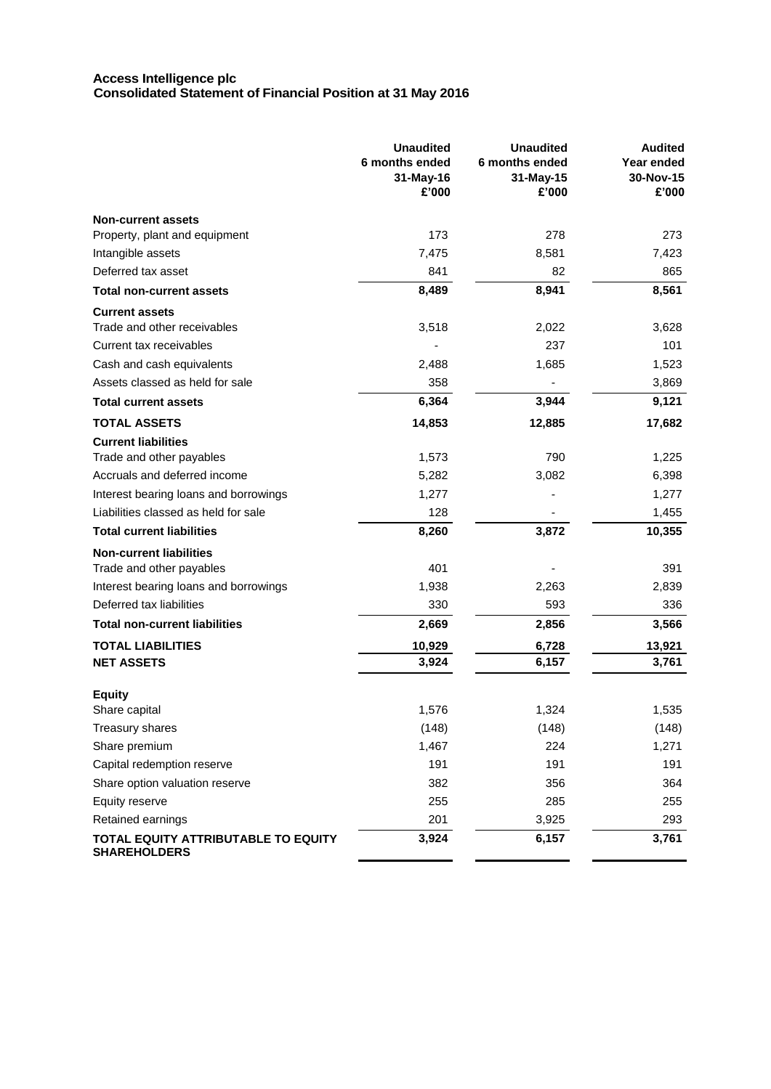### **Access Intelligence plc Consolidated Statement of Financial Position at 31 May 2016**

|                                       | <b>Unaudited</b><br>6 months ended<br>31-May-16<br>£'000 | <b>Unaudited</b><br>6 months ended<br>31-May-15<br>£'000 | <b>Audited</b><br>Year ended<br>30-Nov-15<br>£'000 |
|---------------------------------------|----------------------------------------------------------|----------------------------------------------------------|----------------------------------------------------|
| <b>Non-current assets</b>             |                                                          |                                                          |                                                    |
| Property, plant and equipment         | 173                                                      | 278                                                      | 273                                                |
| Intangible assets                     | 7,475                                                    | 8,581                                                    | 7,423                                              |
| Deferred tax asset                    | 841                                                      | 82                                                       | 865                                                |
| <b>Total non-current assets</b>       | 8,489                                                    | 8,941                                                    | 8,561                                              |
| <b>Current assets</b>                 |                                                          |                                                          |                                                    |
| Trade and other receivables           | 3,518                                                    | 2,022                                                    | 3,628                                              |
| Current tax receivables               |                                                          | 237                                                      | 101                                                |
| Cash and cash equivalents             | 2,488                                                    | 1,685                                                    | 1,523                                              |
| Assets classed as held for sale       | 358                                                      |                                                          | 3,869                                              |
| <b>Total current assets</b>           | 6,364                                                    | 3,944                                                    | 9,121                                              |
| TOTAL ASSETS                          | 14,853                                                   | 12,885                                                   | 17,682                                             |
| <b>Current liabilities</b>            |                                                          |                                                          |                                                    |
| Trade and other payables              | 1,573                                                    | 790                                                      | 1,225                                              |
| Accruals and deferred income          | 5,282                                                    | 3,082                                                    | 6,398                                              |
| Interest bearing loans and borrowings | 1,277                                                    |                                                          | 1,277                                              |
| Liabilities classed as held for sale  | 128                                                      |                                                          | 1,455                                              |
| <b>Total current liabilities</b>      | 8,260                                                    | 3,872                                                    | 10,355                                             |
| <b>Non-current liabilities</b>        |                                                          |                                                          |                                                    |
| Trade and other payables              | 401                                                      |                                                          | 391                                                |
| Interest bearing loans and borrowings | 1,938                                                    | 2,263                                                    | 2,839                                              |
| Deferred tax liabilities              | 330                                                      | 593                                                      | 336                                                |
| <b>Total non-current liabilities</b>  | 2,669                                                    | 2,856                                                    | 3,566                                              |
| TOTAL LIABILITIES                     | 10,929                                                   | 6,728                                                    | 13,921                                             |
| <b>NET ASSETS</b>                     | 3,924                                                    | 6,157                                                    | 3,761                                              |
|                                       |                                                          |                                                          |                                                    |
| <b>Equity</b><br>Share capital        | 1,576                                                    | 1,324                                                    | 1,535                                              |
| Treasury shares                       | (148)                                                    | (148)                                                    | (148)                                              |
| Share premium                         | 1,467                                                    | 224                                                      | 1,271                                              |
| Capital redemption reserve            | 191                                                      | 191                                                      | 191                                                |
| Share option valuation reserve        | 382                                                      | 356                                                      | 364                                                |
| Equity reserve                        | 255                                                      | 285                                                      | 255                                                |
| Retained earnings                     | 201                                                      | 3,925                                                    | 293                                                |
| TOTAL EQUITY ATTRIBUTABLE TO EQUITY   | 3,924                                                    | 6,157                                                    | 3,761                                              |
| <b>SHAREHOLDERS</b>                   |                                                          |                                                          |                                                    |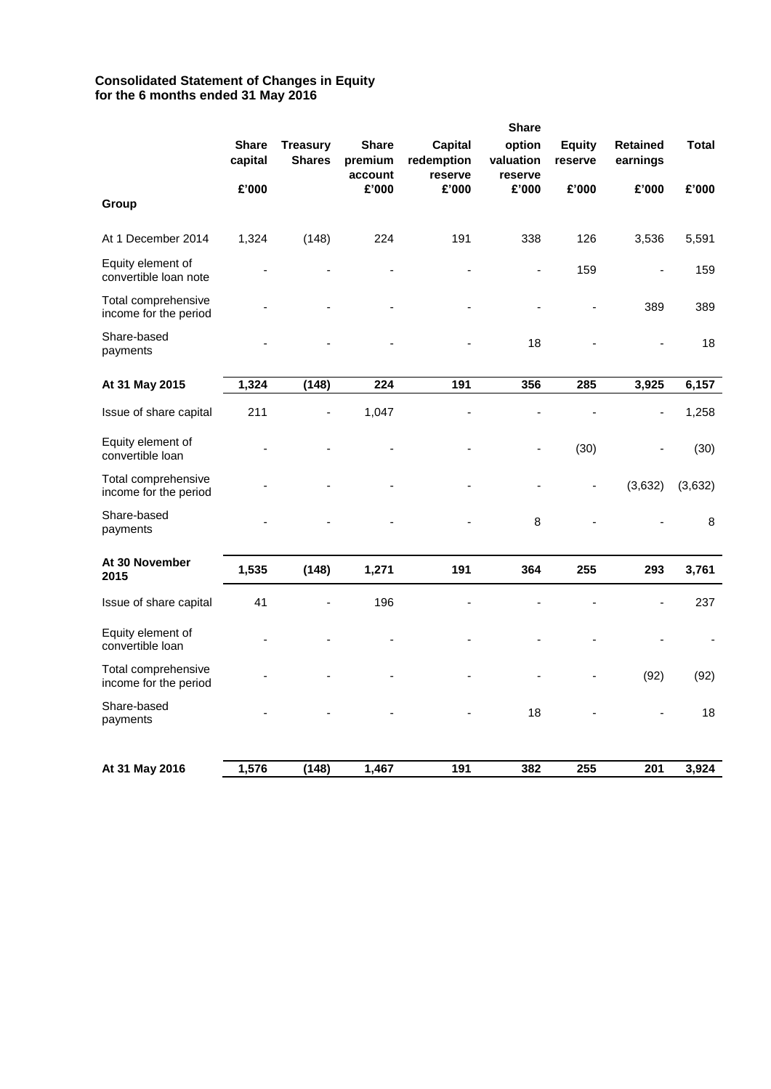## **Consolidated Statement of Changes in Equity for the 6 months ended 31 May 2016**

|                                              | <b>Share</b>            |                                  |                         |                              |                     |                          |                             |              |
|----------------------------------------------|-------------------------|----------------------------------|-------------------------|------------------------------|---------------------|--------------------------|-----------------------------|--------------|
|                                              | <b>Share</b><br>capital | <b>Treasury</b><br><b>Shares</b> | <b>Share</b><br>premium | <b>Capital</b><br>redemption | option<br>valuation | <b>Equity</b><br>reserve | <b>Retained</b><br>earnings | <b>Total</b> |
| Group                                        | £'000                   |                                  | account<br>£'000        | reserve<br>£'000             | reserve<br>£'000    | £'000                    | £'000                       | £'000        |
| At 1 December 2014                           | 1,324                   | (148)                            | 224                     | 191                          | 338                 | 126                      | 3,536                       | 5,591        |
| Equity element of<br>convertible loan note   |                         |                                  |                         |                              | ٠                   | 159                      | $\overline{a}$              | 159          |
| Total comprehensive<br>income for the period |                         |                                  |                         |                              |                     |                          | 389                         | 389          |
| Share-based<br>payments                      |                         |                                  |                         |                              | 18                  |                          |                             | 18           |
| At 31 May 2015                               | 1,324                   | (148)                            | 224                     | 191                          | 356                 | 285                      | 3,925                       | 6,157        |
| Issue of share capital                       | 211                     | L,                               | 1,047                   | ä,                           | ÷,                  |                          | Ĭ.                          | 1,258        |
| Equity element of<br>convertible loan        |                         |                                  |                         |                              | -                   | (30)                     |                             | (30)         |
| Total comprehensive<br>income for the period |                         |                                  |                         |                              |                     | $\blacksquare$           | (3,632)                     | (3,632)      |
| Share-based<br>payments                      |                         |                                  |                         |                              | 8                   |                          |                             | 8            |
| At 30 November<br>2015                       | 1,535                   | (148)                            | 1,271                   | 191                          | 364                 | 255                      | 293                         | 3,761        |
| Issue of share capital                       | 41                      |                                  | 196                     | ä,                           |                     |                          |                             | 237          |
| Equity element of<br>convertible loan        |                         |                                  |                         |                              |                     |                          |                             |              |
| Total comprehensive<br>income for the period |                         |                                  |                         |                              |                     |                          | (92)                        | (92)         |
| Share-based<br>payments                      |                         |                                  |                         |                              | 18                  |                          |                             | 18           |
| At 31 May 2016                               | 1,576                   | (148)                            | 1,467                   | 191                          | 382                 | 255                      | 201                         | 3,924        |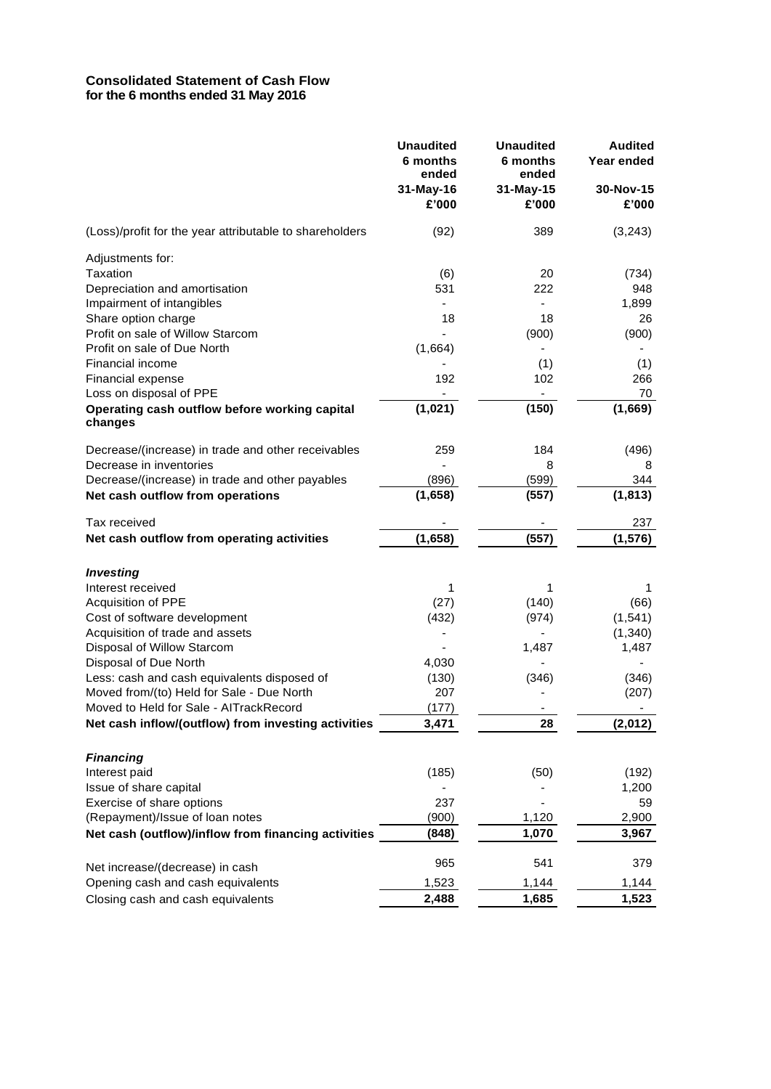# **Consolidated Statement of Cash Flow for the 6 months ended 31 May 2016**

|                                                          | <b>Unaudited</b><br>6 months<br>ended | <b>Unaudited</b><br>6 months<br>ended | <b>Audited</b><br>Year ended |
|----------------------------------------------------------|---------------------------------------|---------------------------------------|------------------------------|
|                                                          | 31-May-16<br>£'000                    | 31-May-15<br>£'000                    | 30-Nov-15<br>£'000           |
| (Loss)/profit for the year attributable to shareholders  | (92)                                  | 389                                   | (3, 243)                     |
| Adjustments for:                                         |                                       |                                       |                              |
| Taxation                                                 | (6)                                   | 20                                    | (734)                        |
| Depreciation and amortisation                            | 531                                   | 222                                   | 948                          |
| Impairment of intangibles                                | $\overline{\phantom{0}}$              |                                       | 1,899                        |
| Share option charge                                      | 18                                    | 18                                    | 26                           |
| Profit on sale of Willow Starcom                         |                                       | (900)                                 | (900)                        |
| Profit on sale of Due North                              | (1,664)                               |                                       |                              |
| Financial income                                         |                                       | (1)                                   | (1)                          |
| Financial expense                                        | 192                                   | 102                                   | 266                          |
| Loss on disposal of PPE                                  |                                       |                                       | 70                           |
| Operating cash outflow before working capital<br>changes | (1,021)                               | (150)                                 | (1,669)                      |
| Decrease/(increase) in trade and other receivables       | 259                                   | 184                                   | (496)                        |
| Decrease in inventories                                  |                                       | 8                                     | 8                            |
| Decrease/(increase) in trade and other payables          | (896)                                 | (599)                                 | 344                          |
| Net cash outflow from operations                         | (1,658)                               | (557)                                 | (1, 813)                     |
| Tax received                                             |                                       |                                       |                              |
|                                                          |                                       |                                       | 237                          |
| Net cash outflow from operating activities               | (1,658)                               | (557)                                 | (1, 576)                     |
| <b>Investing</b>                                         |                                       |                                       |                              |
| Interest received                                        | 1                                     | 1                                     | 1                            |
| Acquisition of PPE                                       | (27)                                  | (140)                                 | (66)                         |
| Cost of software development                             | (432)                                 | (974)                                 | (1, 541)                     |
| Acquisition of trade and assets                          |                                       |                                       | (1,340)                      |
| Disposal of Willow Starcom                               | ۰                                     | 1,487                                 | 1,487                        |
| Disposal of Due North                                    | 4,030                                 |                                       |                              |
| Less: cash and cash equivalents disposed of              | (130)                                 | (346)                                 | (346)                        |
| Moved from/(to) Held for Sale - Due North                | 207                                   |                                       | (207)                        |
| Moved to Held for Sale - AITrackRecord                   | (177)                                 |                                       |                              |
| Net cash inflow/(outflow) from investing activities      | 3,471                                 | 28                                    | (2,012)                      |
| <b>Financing</b>                                         |                                       |                                       |                              |
| Interest paid                                            | (185)                                 | (50)                                  | (192)                        |
| Issue of share capital                                   |                                       |                                       | 1,200                        |
| Exercise of share options                                | 237                                   |                                       | 59                           |
| (Repayment)/Issue of loan notes                          | (900)                                 | 1,120                                 | 2,900                        |
| Net cash (outflow)/inflow from financing activities      | (848)                                 | 1,070                                 | 3,967                        |
|                                                          | 965                                   | 541                                   | 379                          |
| Net increase/(decrease) in cash                          |                                       |                                       | 1,144                        |
| Opening cash and cash equivalents                        | 1,523                                 | 1,144                                 |                              |
| Closing cash and cash equivalents                        | 2,488                                 | 1,685                                 | 1,523                        |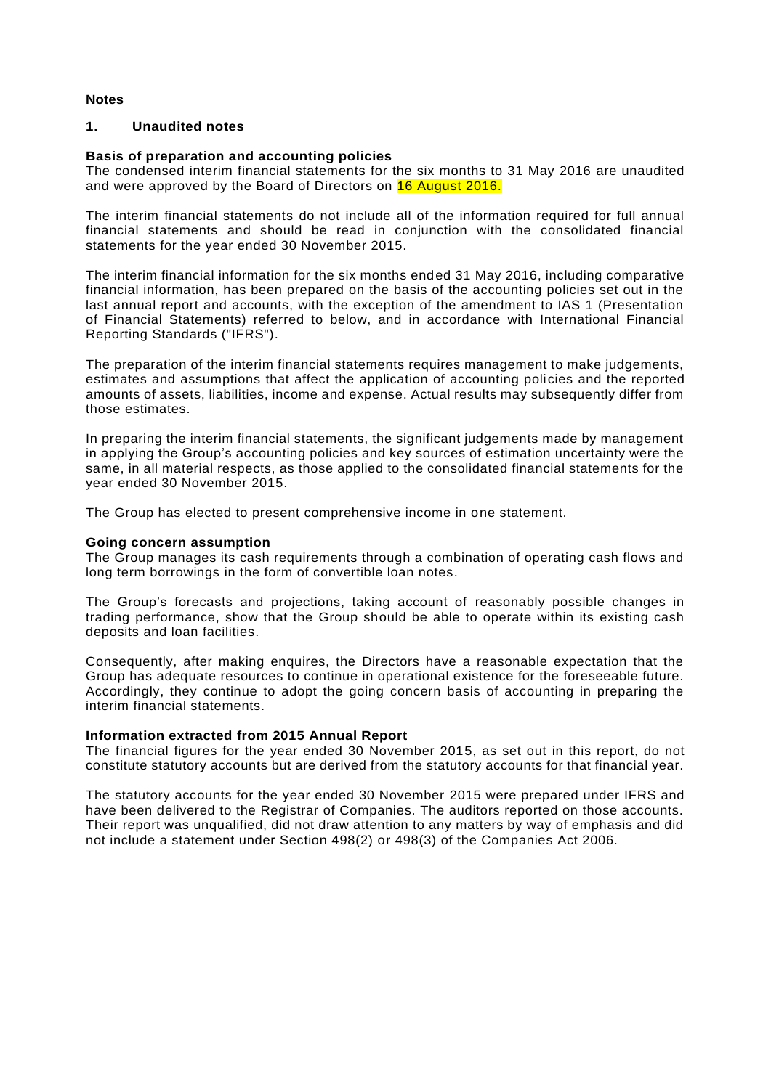## **Notes**

## **1. Unaudited notes**

## **Basis of preparation and accounting policies**

The condensed interim financial statements for the six months to 31 May 2016 are unaudited and were approved by the Board of Directors on 16 August 2016.

The interim financial statements do not include all of the information required for full annual financial statements and should be read in conjunction with the consolidated financial statements for the year ended 30 November 2015.

The interim financial information for the six months ended 31 May 2016, including comparative financial information, has been prepared on the basis of the accounting policies set out in the last annual report and accounts, with the exception of the amendment to IAS 1 (Presentation of Financial Statements) referred to below, and in accordance with International Financial Reporting Standards ("IFRS").

The preparation of the interim financial statements requires management to make judgements, estimates and assumptions that affect the application of accounting policies and the reported amounts of assets, liabilities, income and expense. Actual results may subsequently differ from those estimates.

In preparing the interim financial statements, the significant judgements made by management in applying the Group's accounting policies and key sources of estimation uncertainty were the same, in all material respects, as those applied to the consolidated financial statements for the year ended 30 November 2015.

The Group has elected to present comprehensive income in one statement.

#### **Going concern assumption**

The Group manages its cash requirements through a combination of operating cash flows and long term borrowings in the form of convertible loan notes.

The Group's forecasts and projections, taking account of reasonably possible changes in trading performance, show that the Group should be able to operate within its existing cash deposits and loan facilities.

Consequently, after making enquires, the Directors have a reasonable expectation that the Group has adequate resources to continue in operational existence for the foreseeable future. Accordingly, they continue to adopt the going concern basis of accounting in preparing the interim financial statements.

### **Information extracted from 2015 Annual Report**

The financial figures for the year ended 30 November 2015, as set out in this report, do not constitute statutory accounts but are derived from the statutory accounts for that financial year.

The statutory accounts for the year ended 30 November 2015 were prepared under IFRS and have been delivered to the Registrar of Companies. The auditors reported on those accounts. Their report was unqualified, did not draw attention to any matters by way of emphasis and did not include a statement under Section 498(2) or 498(3) of the Companies Act 2006.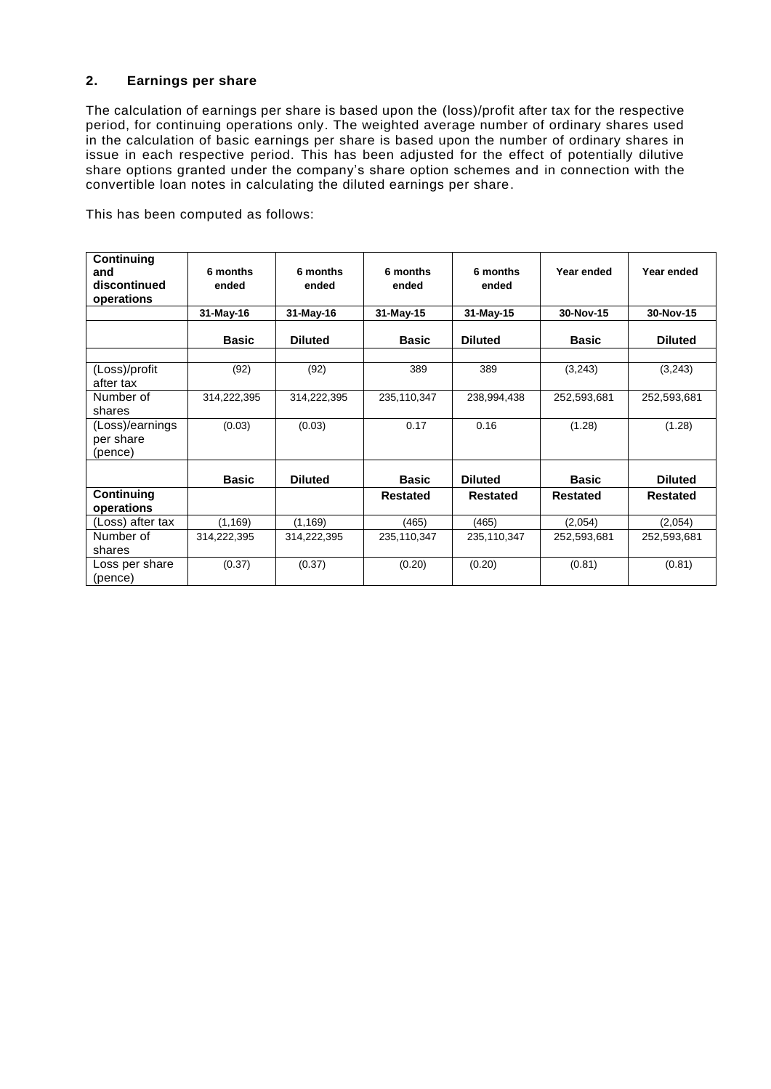# **2. Earnings per share**

The calculation of earnings per share is based upon the (loss)/profit after tax for the respective period, for continuing operations only. The weighted average number of ordinary shares used in the calculation of basic earnings per share is based upon the number of ordinary shares in issue in each respective period. This has been adjusted for the effect of potentially dilutive share options granted under the company's share option schemes and in connection with the convertible loan notes in calculating the diluted earnings per share.

This has been computed as follows:

| Continuing<br>and<br>discontinued<br>operations | 6 months<br>ended | 6 months<br>ended | 6 months<br>ended | 6 months<br>ended | Year ended      | Year ended      |
|-------------------------------------------------|-------------------|-------------------|-------------------|-------------------|-----------------|-----------------|
|                                                 | 31-May-16         | 31-May-16         | 31-May-15         | 31-May-15         | 30-Nov-15       | 30-Nov-15       |
|                                                 | <b>Basic</b>      | <b>Diluted</b>    | <b>Basic</b>      | <b>Diluted</b>    | <b>Basic</b>    | <b>Diluted</b>  |
| (Loss)/profit<br>after tax                      | (92)              | (92)              | 389               | 389               | (3,243)         | (3,243)         |
| Number of<br>shares                             | 314,222,395       | 314,222,395       | 235,110,347       | 238,994,438       | 252,593,681     | 252,593,681     |
| (Loss)/earnings<br>per share<br>(pence)         | (0.03)            | (0.03)            | 0.17              | 0.16              | (1.28)          | (1.28)          |
|                                                 | <b>Basic</b>      | <b>Diluted</b>    | <b>Basic</b>      | <b>Diluted</b>    | <b>Basic</b>    | <b>Diluted</b>  |
| Continuing<br>operations                        |                   |                   | <b>Restated</b>   | <b>Restated</b>   | <b>Restated</b> | <b>Restated</b> |
| (Loss) after tax                                | (1, 169)          | (1, 169)          | (465)             | (465)             | (2,054)         | (2,054)         |
| Number of<br>shares                             | 314,222,395       | 314,222,395       | 235,110,347       | 235,110,347       | 252,593,681     | 252,593,681     |
| Loss per share<br>(pence)                       | (0.37)            | (0.37)            | (0.20)            | (0.20)            | (0.81)          | (0.81)          |